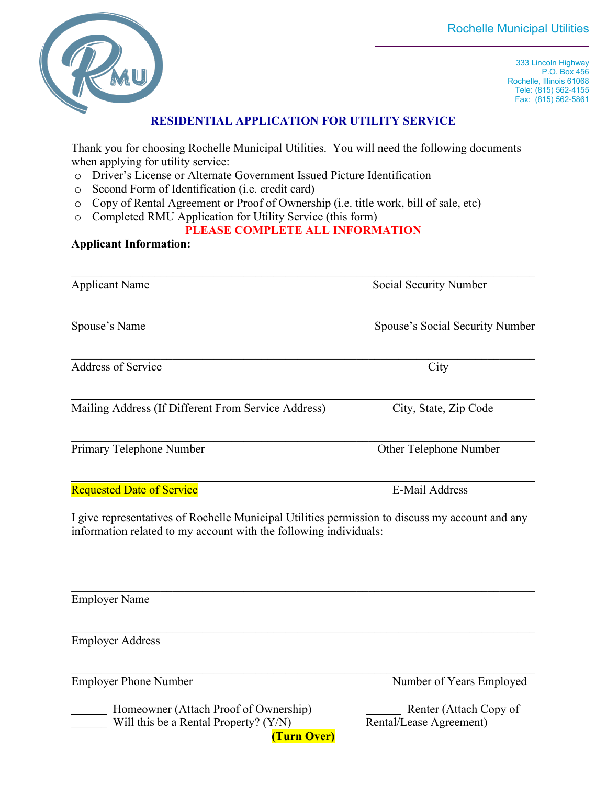

333 Lincoln Highway P.O. Box 456 Rochelle, Illinois 61068 Tele: (815) 562-4155 Fax: (815) 562-5861

## **RESIDENTIAL APPLICATION FOR UTILITY SERVICE**

Thank you for choosing Rochelle Municipal Utilities. You will need the following documents when applying for utility service:

- o Driver's License or Alternate Government Issued Picture Identification
- Second Form of Identification (i.e. credit card)
- o Copy of Rental Agreement or Proof of Ownership (i.e. title work, bill of sale, etc)
- o Completed RMU Application for Utility Service (this form)

## **PLEASE COMPLETE ALL INFORMATION**

## **Applicant Information:**

| <b>Applicant Name</b>                                                                                                                                                | Social Security Number          |
|----------------------------------------------------------------------------------------------------------------------------------------------------------------------|---------------------------------|
| Spouse's Name                                                                                                                                                        | Spouse's Social Security Number |
| <b>Address of Service</b>                                                                                                                                            | City                            |
| Mailing Address (If Different From Service Address)                                                                                                                  | City, State, Zip Code           |
| Primary Telephone Number                                                                                                                                             | Other Telephone Number          |
| <b>Requested Date of Service</b>                                                                                                                                     | <b>E-Mail Address</b>           |
| I give representatives of Rochelle Municipal Utilities permission to discuss my account and any<br>information related to my account with the following individuals: |                                 |
| <b>Employer Name</b>                                                                                                                                                 |                                 |
| <b>Employer Address</b>                                                                                                                                              |                                 |
| <b>Employer Phone Number</b>                                                                                                                                         | Number of Years Employed        |

Homeowner (Attach Proof of Ownership) Renter (Attach Copy of Will this be a Rental Property? (Y/N) Rental/Lease Agreement) **(Turn Over)**